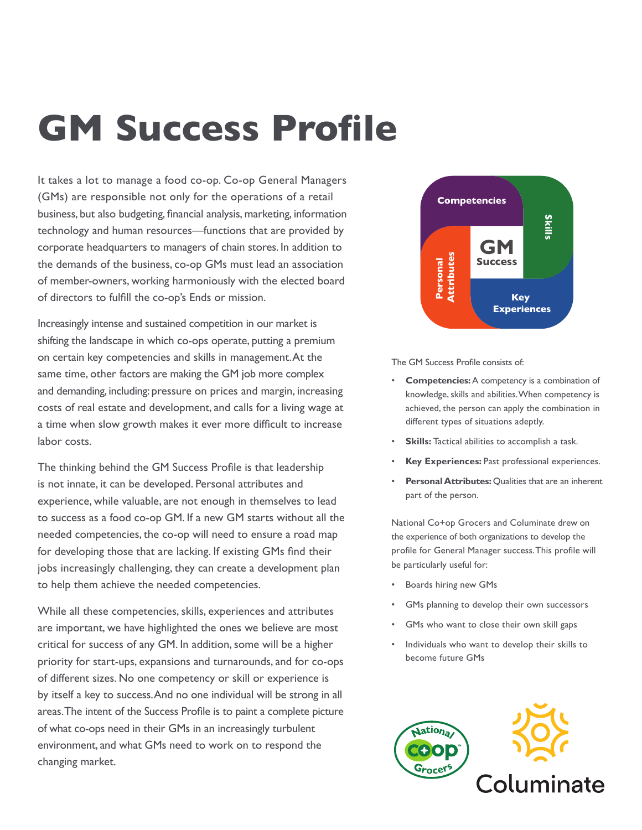# GM Success Profile

It takes a lot to manage a food co-op. Co-op General Managers (GMs) are responsible not only for the operations of a retail business, but also budgeting, financial analysis, marketing, information technology and human resources—functions that are provided by corporate headquarters to managers of chain stores. In addition to the demands of the business, co-op GMs must lead an association of member-owners, working harmoniously with the elected board of directors to fulfill the co-op's Ends or mission.

Increasingly intense and sustained competition in our market is shifting the landscape in which co-ops operate, putting a premium on certain key competencies and skills in management. At the same time, other factors are making the GM job more complex and demanding, including: pressure on prices and margin, increasing costs of real estate and development, and calls for a living wage at a time when slow growth makes it ever more difficult to increase labor costs.

The thinking behind the GM Success Profile is that leadership is not innate, it can be developed. Personal attributes and experience, while valuable, are not enough in themselves to lead to success as a food co-op GM. If a new GM starts without all the needed competencies, the co-op will need to ensure a road map for developing those that are lacking. If existing GMs find their jobs increasingly challenging, they can create a development plan to help them achieve the needed competencies.

While all these competencies, skills, experiences and attributes are important, we have highlighted the ones we believe are most critical for success of any GM. In addition, some will be a higher priority for start-ups, expansions and turnarounds, and for co-ops of different sizes. No one competency or skill or experience is by itself a key to success. And no one individual will be strong in all areas. The intent of the Success Profile is to paint a complete picture of what co-ops need in their GMs in an increasingly turbulent environment, and what GMs need to work on to respond the changing market.



The GM Success Profile consists of:

- **Competencies:** A competency is a combination of knowledge, skills and abilities. When competency is achieved, the person can apply the combination in different types of situations adeptly.
- **Skills:** Tactical abilities to accomplish a task.
- **Key Experiences: Past professional experiences.**
- **Personal Attributes:** Qualities that are an inherent part of the person.

National Co+op Grocers and Columinate drew on the experience of both organizations to develop the profile for General Manager success.This profile will be particularly useful for:

- Boards hiring new GMs
- GMs planning to develop their own successors
- GMs who want to close their own skill gaps
- Individuals who want to develop their skills to become future GMs

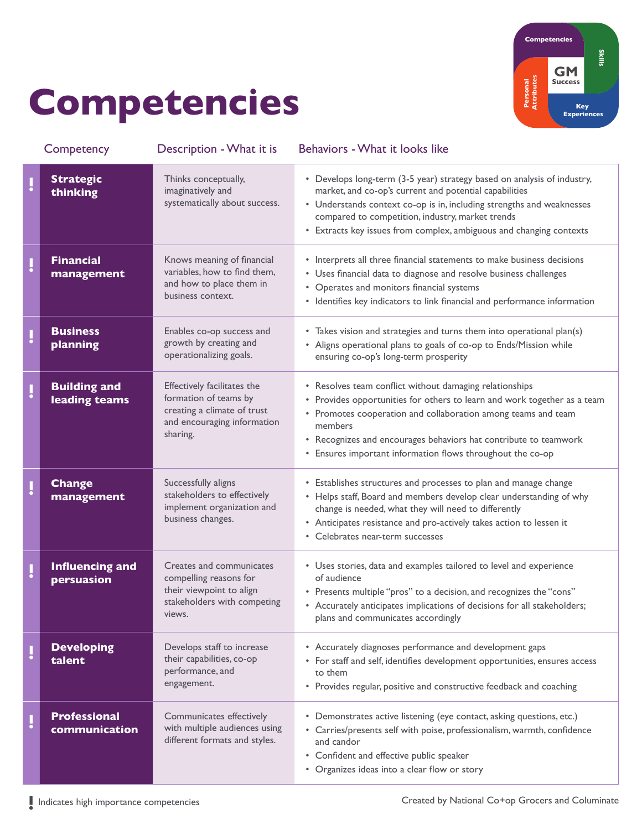## Competencies



|   | Competency                           | Description - What it is                                                                                                       | Behaviors - What it looks like                                                                                                                                                                                                                                                                                                                    |
|---|--------------------------------------|--------------------------------------------------------------------------------------------------------------------------------|---------------------------------------------------------------------------------------------------------------------------------------------------------------------------------------------------------------------------------------------------------------------------------------------------------------------------------------------------|
| ļ | <b>Strategic</b><br>thinking         | Thinks conceptually,<br>imaginatively and<br>systematically about success.                                                     | • Develops long-term (3-5 year) strategy based on analysis of industry,<br>market, and co-op's current and potential capabilities<br>• Understands context co-op is in, including strengths and weaknesses<br>compared to competition, industry, market trends<br>• Extracts key issues from complex, ambiguous and changing contexts             |
| ļ | <b>Financial</b><br>management       | Knows meaning of financial<br>variables, how to find them,<br>and how to place them in<br>business context.                    | • Interprets all three financial statements to make business decisions<br>• Uses financial data to diagnose and resolve business challenges<br>• Operates and monitors financial systems<br>• Identifies key indicators to link financial and performance information                                                                             |
| ļ | <b>Business</b><br>planning          | Enables co-op success and<br>growth by creating and<br>operationalizing goals.                                                 | • Takes vision and strategies and turns them into operational plan(s)<br>• Aligns operational plans to goals of co-op to Ends/Mission while<br>ensuring co-op's long-term prosperity                                                                                                                                                              |
| Į | <b>Building and</b><br>leading teams | Effectively facilitates the<br>formation of teams by<br>creating a climate of trust<br>and encouraging information<br>sharing. | • Resolves team conflict without damaging relationships<br>• Provides opportunities for others to learn and work together as a team<br>• Promotes cooperation and collaboration among teams and team<br>members<br>• Recognizes and encourages behaviors hat contribute to teamwork<br>• Ensures important information flows throughout the co-op |
|   | <b>Change</b><br>management          | Successfully aligns<br>stakeholders to effectively<br>implement organization and<br>business changes.                          | • Establishes structures and processes to plan and manage change<br>• Helps staff, Board and members develop clear understanding of why<br>change is needed, what they will need to differently<br>• Anticipates resistance and pro-actively takes action to lessen it<br>• Celebrates near-term successes                                        |
| ļ | <b>Influencing and</b><br>persuasion | Creates and communicates<br>compelling reasons for<br>their viewpoint to align<br>stakeholders with competing<br>views.        | • Uses stories, data and examples tailored to level and experience<br>of audience<br>• Presents multiple "pros" to a decision, and recognizes the "cons"<br>• Accurately anticipates implications of decisions for all stakeholders;<br>plans and communicates accordingly                                                                        |
|   | <b>Developing</b><br>talent          | Develops staff to increase<br>their capabilities, co-op<br>performance, and<br>engagement.                                     | • Accurately diagnoses performance and development gaps<br>• For staff and self, identifies development opportunities, ensures access<br>to them<br>• Provides regular, positive and constructive feedback and coaching                                                                                                                           |
|   | <b>Professional</b><br>communication | Communicates effectively<br>with multiple audiences using<br>different formats and styles.                                     | Demonstrates active listening (eye contact, asking questions, etc.)<br>٠<br>• Carries/presents self with poise, professionalism, warmth, confidence<br>and candor<br>• Confident and effective public speaker<br>• Organizes ideas into a clear flow or story                                                                                     |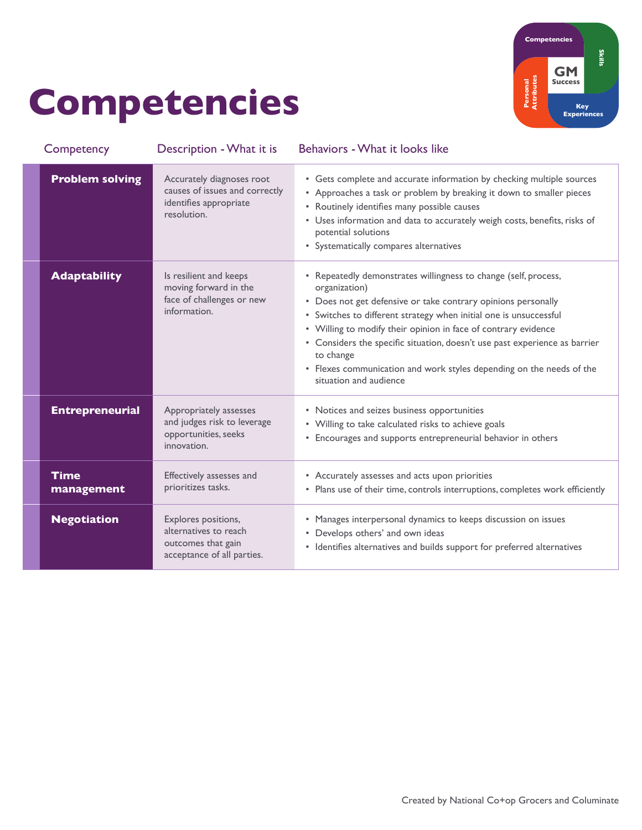## Competencies



| Competency                | Description - What it is                                                                             | Behaviors - What it looks like                                                                                                                                                                                                                                                                                                                                                                                                                                                        |
|---------------------------|------------------------------------------------------------------------------------------------------|---------------------------------------------------------------------------------------------------------------------------------------------------------------------------------------------------------------------------------------------------------------------------------------------------------------------------------------------------------------------------------------------------------------------------------------------------------------------------------------|
| <b>Problem solving</b>    | Accurately diagnoses root<br>causes of issues and correctly<br>identifies appropriate<br>resolution. | • Gets complete and accurate information by checking multiple sources<br>• Approaches a task or problem by breaking it down to smaller pieces<br>• Routinely identifies many possible causes<br>• Uses information and data to accurately weigh costs, benefits, risks of<br>potential solutions<br>• Systematically compares alternatives                                                                                                                                            |
| <b>Adaptability</b>       | Is resilient and keeps<br>moving forward in the<br>face of challenges or new<br>information.         | • Repeatedly demonstrates willingness to change (self, process,<br>organization)<br>• Does not get defensive or take contrary opinions personally<br>• Switches to different strategy when initial one is unsuccessful<br>• Willing to modify their opinion in face of contrary evidence<br>• Considers the specific situation, doesn't use past experience as barrier<br>to change<br>• Flexes communication and work styles depending on the needs of the<br>situation and audience |
| <b>Entrepreneurial</b>    | Appropriately assesses<br>and judges risk to leverage<br>opportunities, seeks<br>innovation.         | • Notices and seizes business opportunities<br>• Willing to take calculated risks to achieve goals<br>• Encourages and supports entrepreneurial behavior in others                                                                                                                                                                                                                                                                                                                    |
| <b>Time</b><br>management | Effectively assesses and<br>prioritizes tasks.                                                       | • Accurately assesses and acts upon priorities<br>• Plans use of their time, controls interruptions, completes work efficiently                                                                                                                                                                                                                                                                                                                                                       |
| <b>Negotiation</b>        | Explores positions,<br>alternatives to reach<br>outcomes that gain<br>acceptance of all parties.     | • Manages interpersonal dynamics to keeps discussion on issues<br>• Develops others' and own ideas<br>• Identifies alternatives and builds support for preferred alternatives                                                                                                                                                                                                                                                                                                         |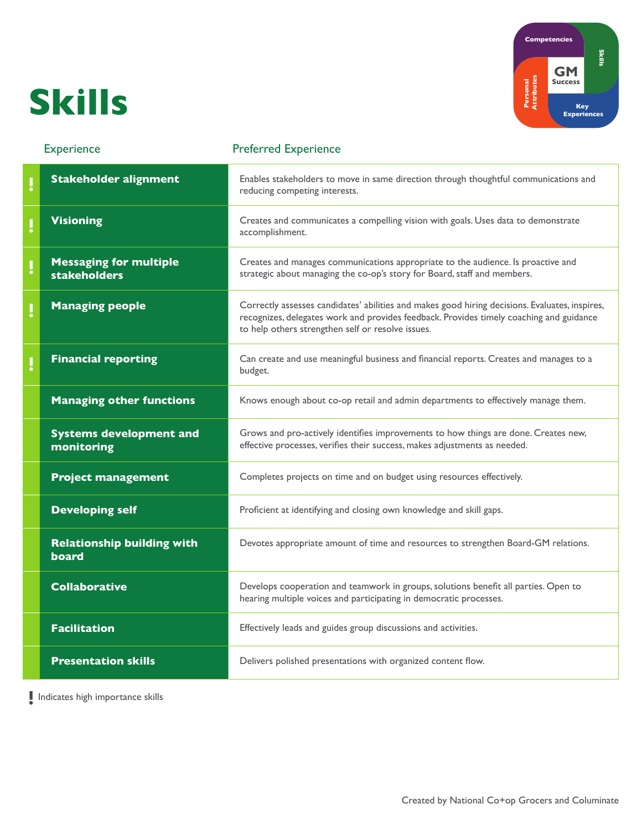#### Skills



| <b>Experience</b> |                                                      | <b>Preferred Experience</b>                                                                                                                                                                                                                    |  |
|-------------------|------------------------------------------------------|------------------------------------------------------------------------------------------------------------------------------------------------------------------------------------------------------------------------------------------------|--|
| IJ                | <b>Stakeholder alignment</b>                         | Enables stakeholders to move in same direction through thoughtful communications and<br>reducing competing interests.                                                                                                                          |  |
| IJ                | <b>Visioning</b>                                     | Creates and communicates a compelling vision with goals. Uses data to demonstrate<br>accomplishment.                                                                                                                                           |  |
| $\mathbf{l}$      | <b>Messaging for multiple</b><br><b>stakeholders</b> | Creates and manages communications appropriate to the audience. Is proactive and<br>strategic about managing the co-op's story for Board, staff and members.                                                                                   |  |
| Į                 | <b>Managing people</b>                               | Correctly assesses candidates' abilities and makes good hiring decisions. Evaluates, inspires,<br>recognizes, delegates work and provides feedback. Provides timely coaching and guidance<br>to help others strengthen self or resolve issues. |  |
|                   | <b>Financial reporting</b>                           | Can create and use meaningful business and financial reports. Creates and manages to a<br>budget.                                                                                                                                              |  |
|                   | <b>Managing other functions</b>                      | Knows enough about co-op retail and admin departments to effectively manage them.                                                                                                                                                              |  |
|                   | <b>Systems development and</b><br>monitoring         | Grows and pro-actively identifies improvements to how things are done. Creates new,<br>effective processes, verifies their success, makes adjustments as needed.                                                                               |  |
|                   | <b>Project management</b>                            | Completes projects on time and on budget using resources effectively.                                                                                                                                                                          |  |
|                   | <b>Developing self</b>                               | Proficient at identifying and closing own knowledge and skill gaps.                                                                                                                                                                            |  |
|                   | <b>Relationship building with</b><br>board           | Devotes appropriate amount of time and resources to strengthen Board-GM relations.                                                                                                                                                             |  |
|                   | <b>Collaborative</b>                                 | Develops cooperation and teamwork in groups, solutions benefit all parties. Open to<br>hearing multiple voices and participating in democratic processes.                                                                                      |  |
|                   | <b>Facilitation</b>                                  | Effectively leads and guides group discussions and activities.                                                                                                                                                                                 |  |
|                   | <b>Presentation skills</b>                           | Delivers polished presentations with organized content flow.                                                                                                                                                                                   |  |

**!** Indicates high importance skills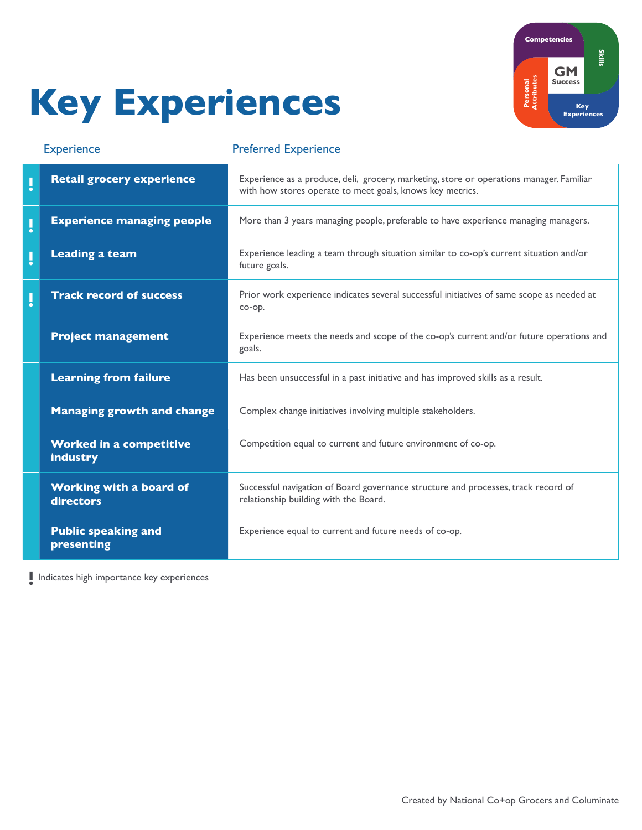# Key Experiences



| <b>Experience</b>       |                                             | <b>Preferred Experience</b>                                                                                                                           |  |
|-------------------------|---------------------------------------------|-------------------------------------------------------------------------------------------------------------------------------------------------------|--|
| $\overline{\mathsf{I}}$ | <b>Retail grocery experience</b>            | Experience as a produce, deli, grocery, marketing, store or operations manager. Familiar<br>with how stores operate to meet goals, knows key metrics. |  |
| Ű                       | <b>Experience managing people</b>           | More than 3 years managing people, preferable to have experience managing managers.                                                                   |  |
| ļ                       | <b>Leading a team</b>                       | Experience leading a team through situation similar to co-op's current situation and/or<br>future goals.                                              |  |
| ļ                       | <b>Track record of success</b>              | Prior work experience indicates several successful initiatives of same scope as needed at<br>co-op.                                                   |  |
|                         | <b>Project management</b>                   | Experience meets the needs and scope of the co-op's current and/or future operations and<br>goals.                                                    |  |
|                         | <b>Learning from failure</b>                | Has been unsuccessful in a past initiative and has improved skills as a result.                                                                       |  |
|                         | <b>Managing growth and change</b>           | Complex change initiatives involving multiple stakeholders.                                                                                           |  |
|                         | <b>Worked in a competitive</b><br>industry  | Competition equal to current and future environment of co-op.                                                                                         |  |
|                         | <b>Working with a board of</b><br>directors | Successful navigation of Board governance structure and processes, track record of<br>relationship building with the Board.                           |  |
|                         | <b>Public speaking and</b><br>presenting    | Experience equal to current and future needs of co-op.                                                                                                |  |

**!** Indicates high importance key experiences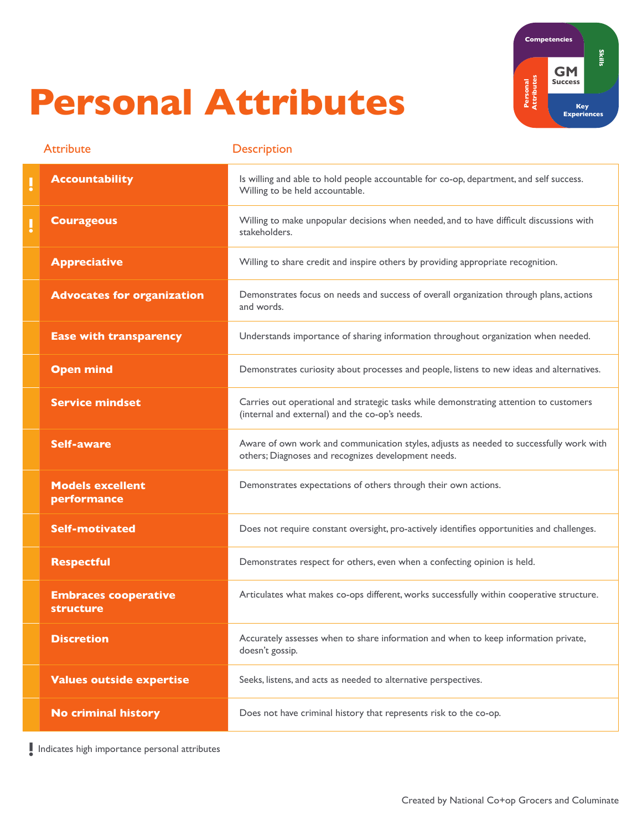### Personal Attributes



|    | <b>Attribute</b>                         | <b>Description</b>                                                                                                                             |
|----|------------------------------------------|------------------------------------------------------------------------------------------------------------------------------------------------|
| IJ | <b>Accountability</b>                    | Is willing and able to hold people accountable for co-op, department, and self success.<br>Willing to be held accountable.                     |
| ļ  | <b>Courageous</b>                        | Willing to make unpopular decisions when needed, and to have difficult discussions with<br>stakeholders.                                       |
|    | <b>Appreciative</b>                      | Willing to share credit and inspire others by providing appropriate recognition.                                                               |
|    | <b>Advocates for organization</b>        | Demonstrates focus on needs and success of overall organization through plans, actions<br>and words.                                           |
|    | <b>Ease with transparency</b>            | Understands importance of sharing information throughout organization when needed.                                                             |
|    | <b>Open mind</b>                         | Demonstrates curiosity about processes and people, listens to new ideas and alternatives.                                                      |
|    | <b>Service mindset</b>                   | Carries out operational and strategic tasks while demonstrating attention to customers<br>(internal and external) and the co-op's needs.       |
|    | <b>Self-aware</b>                        | Aware of own work and communication styles, adjusts as needed to successfully work with<br>others; Diagnoses and recognizes development needs. |
|    | <b>Models excellent</b><br>performance   | Demonstrates expectations of others through their own actions.                                                                                 |
|    | <b>Self-motivated</b>                    | Does not require constant oversight, pro-actively identifies opportunities and challenges.                                                     |
|    | <b>Respectful</b>                        | Demonstrates respect for others, even when a confecting opinion is held.                                                                       |
|    | <b>Embraces cooperative</b><br>structure | Articulates what makes co-ops different, works successfully within cooperative structure.                                                      |
|    | <b>Discretion</b>                        | Accurately assesses when to share information and when to keep information private,<br>doesn't gossip.                                         |
|    | <b>Values outside expertise</b>          | Seeks, listens, and acts as needed to alternative perspectives.                                                                                |
|    | <b>No criminal history</b>               | Does not have criminal history that represents risk to the co-op.                                                                              |

**!** Indicates high importance personal attributes